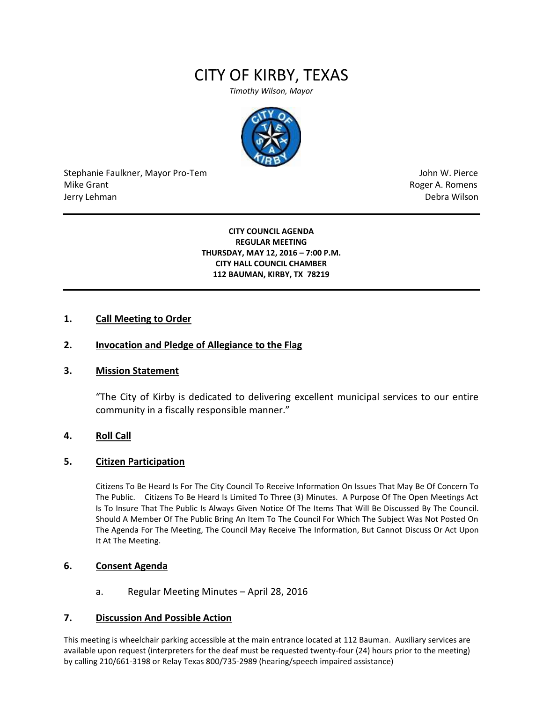# CITY OF KIRBY, TEXAS

*Timothy Wilson, Mayor*



Stephanie Faulkner, Mayor Pro-Tem John W. Pierce Mike Grant **Mike Grant** Roger A. Romens **Contract A. Romens Roger A. Romens** Jerry Lehman Debra Wilson

#### **CITY COUNCIL AGENDA REGULAR MEETING THURSDAY, MAY 12, 2016 – 7:00 P.M. CITY HALL COUNCIL CHAMBER 112 BAUMAN, KIRBY, TX 78219**

## **1. Call Meeting to Order**

## **2. Invocation and Pledge of Allegiance to the Flag**

#### **3. Mission Statement**

"The City of Kirby is dedicated to delivering excellent municipal services to our entire community in a fiscally responsible manner."

## **4. Roll Call**

#### **5. Citizen Participation**

Citizens To Be Heard Is For The City Council To Receive Information On Issues That May Be Of Concern To The Public. Citizens To Be Heard Is Limited To Three (3) Minutes. A Purpose Of The Open Meetings Act Is To Insure That The Public Is Always Given Notice Of The Items That Will Be Discussed By The Council. Should A Member Of The Public Bring An Item To The Council For Which The Subject Was Not Posted On The Agenda For The Meeting, The Council May Receive The Information, But Cannot Discuss Or Act Upon It At The Meeting.

## **6. Consent Agenda**

a. Regular Meeting Minutes – April 28, 2016

#### **7. Discussion And Possible Action**

This meeting is wheelchair parking accessible at the main entrance located at 112 Bauman. Auxiliary services are available upon request (interpreters for the deaf must be requested twenty-four (24) hours prior to the meeting) by calling 210/661-3198 or Relay Texas 800/735-2989 (hearing/speech impaired assistance)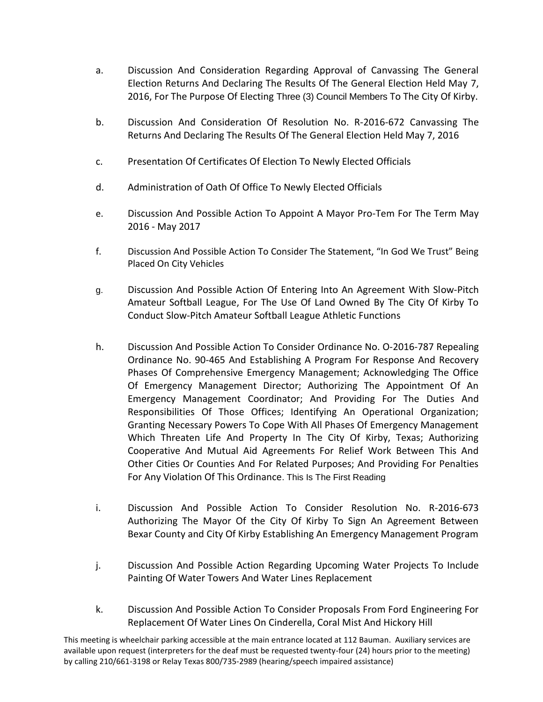- a. Discussion And Consideration Regarding Approval of Canvassing The General Election Returns And Declaring The Results Of The General Election Held May 7, 2016, For The Purpose Of Electing Three (3) Council Members To The City Of Kirby.
- b. Discussion And Consideration Of Resolution No. R-2016-672 Canvassing The Returns And Declaring The Results Of The General Election Held May 7, 2016
- c. Presentation Of Certificates Of Election To Newly Elected Officials
- d. Administration of Oath Of Office To Newly Elected Officials
- e. Discussion And Possible Action To Appoint A Mayor Pro-Tem For The Term May 2016 - May 2017
- f. Discussion And Possible Action To Consider The Statement, "In God We Trust" Being Placed On City Vehicles
- g. Discussion And Possible Action Of Entering Into An Agreement With Slow-Pitch Amateur Softball League, For The Use Of Land Owned By The City Of Kirby To Conduct Slow-Pitch Amateur Softball League Athletic Functions
- h. Discussion And Possible Action To Consider Ordinance No. O-2016-787 Repealing Ordinance No. 90-465 And Establishing A Program For Response And Recovery Phases Of Comprehensive Emergency Management; Acknowledging The Office Of Emergency Management Director; Authorizing The Appointment Of An Emergency Management Coordinator; And Providing For The Duties And Responsibilities Of Those Offices; Identifying An Operational Organization; Granting Necessary Powers To Cope With All Phases Of Emergency Management Which Threaten Life And Property In The City Of Kirby, Texas; Authorizing Cooperative And Mutual Aid Agreements For Relief Work Between This And Other Cities Or Counties And For Related Purposes; And Providing For Penalties For Any Violation Of This Ordinance. This Is The First Reading
- i. Discussion And Possible Action To Consider Resolution No. R-2016-673 Authorizing The Mayor Of the City Of Kirby To Sign An Agreement Between Bexar County and City Of Kirby Establishing An Emergency Management Program
- j. Discussion And Possible Action Regarding Upcoming Water Projects To Include Painting Of Water Towers And Water Lines Replacement
- k. Discussion And Possible Action To Consider Proposals From Ford Engineering For Replacement Of Water Lines On Cinderella, Coral Mist And Hickory Hill

This meeting is wheelchair parking accessible at the main entrance located at 112 Bauman. Auxiliary services are available upon request (interpreters for the deaf must be requested twenty-four (24) hours prior to the meeting) by calling 210/661-3198 or Relay Texas 800/735-2989 (hearing/speech impaired assistance)